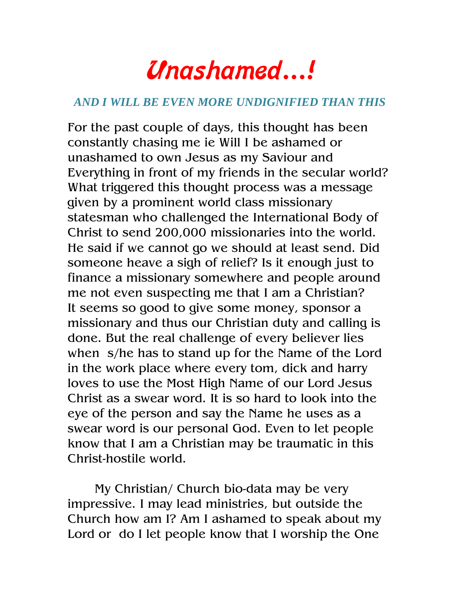## Unashamed…!

## *AND I WILL BE EVEN MORE UNDIGNIFIED THAN THIS*

For the past couple of days, this thought has been constantly chasing me ie Will I be ashamed or unashamed to own Jesus as my Saviour and Everything in front of my friends in the secular world? What triggered this thought process was a message given by a prominent world class missionary statesman who challenged the International Body of Christ to send 200,000 missionaries into the world. He said if we cannot go we should at least send. Did someone heave a sigh of relief? Is it enough just to finance a missionary somewhere and people around me not even suspecting me that I am a Christian? It seems so good to give some money, sponsor a missionary and thus our Christian duty and calling is done. But the real challenge of every believer lies when s/he has to stand up for the Name of the Lord in the work place where every tom, dick and harry loves to use the Most High Name of our Lord Jesus Christ as a swear word. It is so hard to look into the eye of the person and say the Name he uses as a swear word is our personal God. Even to let people know that I am a Christian may be traumatic in this Christ-hostile world.

My Christian/ Church bio-data may be very impressive. I may lead ministries, but outside the Church how am I? Am I ashamed to speak about my Lord or do I let people know that I worship the One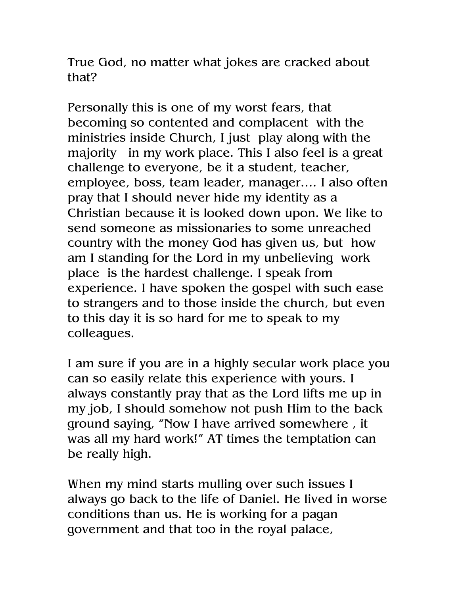True God, no matter what jokes are cracked about that?

Personally this is one of my worst fears, that becoming so contented and complacent with the ministries inside Church, I just play along with the majority in my work place. This I also feel is a great challenge to everyone, be it a student, teacher, employee, boss, team leader, manager…. I also often pray that I should never hide my identity as a Christian because it is looked down upon. We like to send someone as missionaries to some unreached country with the money God has given us, but how am I standing for the Lord in my unbelieving work place is the hardest challenge. I speak from experience. I have spoken the gospel with such ease to strangers and to those inside the church, but even to this day it is so hard for me to speak to my colleagues.

I am sure if you are in a highly secular work place you can so easily relate this experience with yours. I always constantly pray that as the Lord lifts me up in my job, I should somehow not push Him to the back ground saying, "Now I have arrived somewhere , it was all my hard work!" AT times the temptation can be really high.

When my mind starts mulling over such issues I always go back to the life of Daniel. He lived in worse conditions than us. He is working for a pagan government and that too in the royal palace,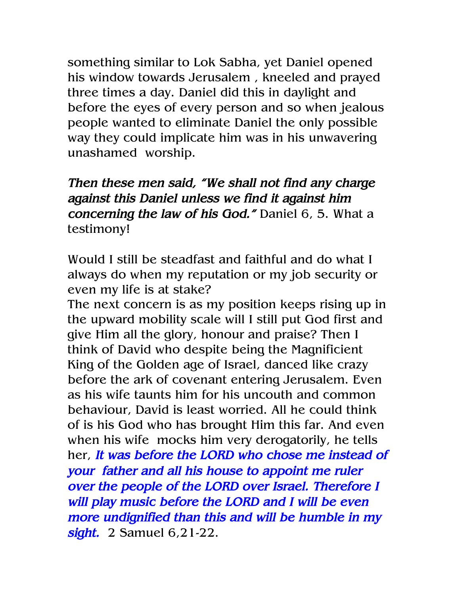something similar to Lok Sabha, yet Daniel opened his window towards Jerusalem , kneeled and prayed three times a day. Daniel did this in daylight and before the eyes of every person and so when jealous people wanted to eliminate Daniel the only possible way they could implicate him was in his unwavering unashamed worship.

Then these men said, "We shall not find any charge against this Daniel unless we find it against him concerning the law of his God." Daniel 6, 5. What a testimony!

Would I still be steadfast and faithful and do what I always do when my reputation or my job security or even my life is at stake?

The next concern is as my position keeps rising up in the upward mobility scale will I still put God first and give Him all the glory, honour and praise? Then I think of David who despite being the Magnificient King of the Golden age of Israel, danced like crazy before the ark of covenant entering Jerusalem. Even as his wife taunts him for his uncouth and common behaviour, David is least worried. All he could think of is his God who has brought Him this far. And even when his wife mocks him very derogatorily, he tells her, It was before the LORD who chose me instead of your father and all his house to appoint me ruler over the people of the LORD over Israel. Therefore I will play music before the LORD and I will be even more undignified than this and will be humble in my sight. 2 Samuel 6,21-22.